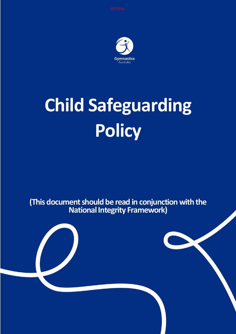

# **Child Safeguarding Policy**

**(This document should be read in conjunction with the National Integrity Framework)**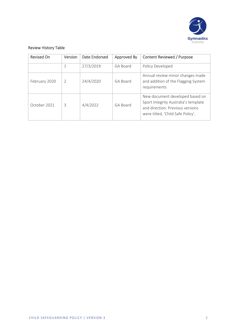

#### Review History Table

| <b>Revised On</b> | Version | Date Endorsed | Approved By | <b>Content Reviewed / Purpose</b>                                                                                                                |
|-------------------|---------|---------------|-------------|--------------------------------------------------------------------------------------------------------------------------------------------------|
|                   | 1       | 27/3/2019     | GA Board    | Policy Developed                                                                                                                                 |
| February 2020     | 2       | 24/4/2020     | GA Board    | Annual review minor changes made<br>and addition of the Flagging System<br>requirements                                                          |
| October 2021      | 3       | 4/4/2022      | GA Board    | New document developed based on<br>Sport Integrity Australia's template<br>and direction. Previous versions<br>were titled, 'Child Safe Policy'. |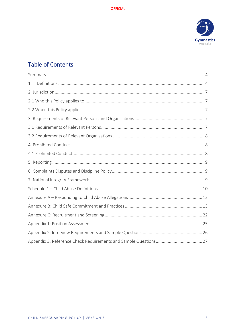

# **Table of Contents**

| 1. |
|----|
|    |
|    |
|    |
|    |
|    |
|    |
|    |
|    |
|    |
|    |
|    |
|    |
|    |
|    |
|    |
|    |
|    |
|    |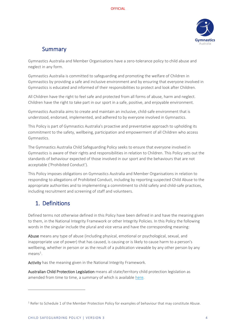

## Summary

<span id="page-3-0"></span>Gymnastics Australia and Member Organisations have a zero-tolerance policy to child abuse and neglect in any form.

Gymnastics Australia is committed to safeguarding and promoting the welfare of Children in Gymnastics by providing a safe and inclusive environment and by ensuring that everyone involved in Gymnastics is educated and informed of their responsibilities to protect and look after Children.

All Children have the right to feel safe and protected from all forms of abuse, harm and neglect. Children have the right to take part in our sport in a safe, positive, and enjoyable environment.

Gymnastics Australia aims to create and maintain an inclusive, child-safe environment that is understood, endorsed, implemented, and adhered to by everyone involved in Gymnastics.

This Policy is part of Gymnastics Australia's proactive and preventative approach to upholding its commitment to the safety, wellbeing, participation and empowerment of all Children who access Gymnastics.

The Gymnastics Australia Child Safeguarding Policy seeks to ensure that everyone involved in Gymnastics is aware of their rights and responsibilities in relation to Children. This Policy sets out the standards of behaviour expected of those involved in our sport and the behaviours that are not acceptable ('Prohibited Conduct').

This Policy imposes obligations on Gymnastics Australia and Member Organisations in relation to responding to allegations of Prohibited Conduct, including by reporting suspected Child Abuse to the appropriate authorities and to implementing a commitment to child safety and child-safe practices, including recruitment and screening of staff and volunteers.

# <span id="page-3-1"></span>1. Definitions

Defined terms not otherwise defined in this Policy have been defined in and have the meaning given to them, in the National Integrity Framework or other Integrity Policies. In this Policy the following words in the singular include the plural and vice versa and have the corresponding meaning:

Abuse means any type of abuse (including physical, emotional or psychological, sexual, and inappropriate use of power) that has caused, is causing or is likely to cause harm to a person's wellbeing, whether in person or as the result of a publication viewable by any other person by any  $means<sup>1</sup>$  $means<sup>1</sup>$  $means<sup>1</sup>$ .

Activity has the meaning given in the National Integrity Framework.

Australian Child Protection Legislation means all state/territory child protection legislation as amended from time to time, a summary of which is available [here.](https://aifs.gov.au/cfca/publications/australian-child-protection-legislation)

<span id="page-3-2"></span> $1$  Refer to Schedule 1 of the Member Protection Policy for examples of behaviour that may constitute Abuse.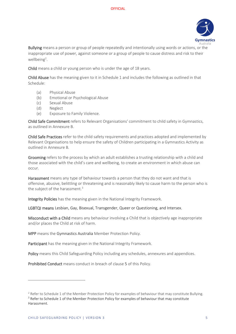

Bullying means a person or group of people repeatedly and intentionally using words or actions, or the inappropriate use of power, against someone or a group of people to cause distress and risk to their wellbeing<sup>[2](#page-4-0)</sup>.

Child means a child or young person who is under the age of 18 years.

Child Abuse has the meaning given to it in Schedule 1 and includes the following as outlined in that Schedule:

- (a) Physical Abuse
- (b) Emotional or Psychological Abuse
- (c) Sexual Abuse
- (d) Neglect
- (e) Exposure to Family Violence.

Child Safe Commitment refers to Relevant Organisations' commitment to child safety in Gymnastics, as outlined in Annexure B.

Child Safe Practices refer to the child safety requirements and practices adopted and implemented by Relevant Organisations to help ensure the safety of Children participating in a Gymnastics Activity as outlined in Annexure B.

Grooming refers to the process by which an adult establishes a trusting relationship with a child and those associated with the child's care and [wellbeing,](https://www.kidspot.com.au/lifestyle/entertainment/celebrity-news/blue-wiggle-says-he-caught-viral-meningitis-from-kids-at-concerts/news-story/57c5b6c145dc8eb7e8e278da61653ae1) to create an environment in which abuse can occur.

Harassment means any type of behaviour towards a person that they do not want and that is offensive, abusive, belittling or threatening and is reasonably likely to cause harm to the person who is the subject of the harassment. $3$ 

Integrity Policies has the meaning given in the National Integrity Framework.

LGBTQI means Lesbian, Gay, Bisexual, Transgender, Queer or Questioning, and Intersex.

Misconduct with a Child means any behaviour involving a Child that is objectively age inappropriate and/or places the Child at risk of harm.

MPP means the Gymnastics Australia Member Protection Policy.

Participant has the meaning given in the National Integrity Framework.

Policy means this Child Safeguarding Policy including any schedules, annexures and appendices.

Prohibited Conduct means conduct in breach of clause 5 of this Policy.

<span id="page-4-0"></span><sup>&</sup>lt;sup>2</sup> Refer to Schedule 1 of the Member Protection Policy for examples of behaviour that may constitute Bullying. <sup>3</sup> Refer to Schedule 1 of the Member Protection Policy for examples of behaviour that may constitute

<span id="page-4-1"></span>Harassment.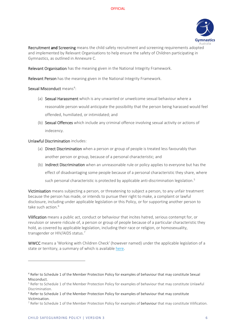

Recruitment and Screening means the child safety recruitment and screening requirements adopted and implemented by Relevant Organisations to help ensure the safety of Children participating in Gymnastics, as outlined in Annexure C.

Relevant Organisation has the meaning given in the National Integrity Framework.

Relevant Person has the meaning given in the National Integrity Framework.

Sexual Misconduct means<sup>[4](#page-5-0)</sup>:

- (a) Sexual Harassment which is any unwanted or unwelcome sexual behaviour where a reasonable person would anticipate the possibility that the person being harassed would feel offended, humiliated, or intimidated; and
- (b) Sexual Offences which include any criminal offence involving sexual activity or actions of indecency.

#### Unlawful Discrimination includes:

- (a) Direct Discrimination when a person or group of people is treated less favourably than another person or group, because of a personal characteristic; and
- (b) Indirect Discrimination when an unreasonable rule or policy applies to everyone but has the effect of disadvantaging some people because of a personal characteristic they share, where such personal characteristic is protected by applicable anti-discrimination legislation. [5](#page-5-1)

Victimisation means subjecting a person, or threatening to subject a person, to any unfair treatment because the person has made, or intends to pursue their right to make, a complaint or lawful disclosure, including under applicable legislation or this Policy, or for supporting another person to take such action. [6](#page-5-2)

Vilification means a public act, conduct or behaviour that incites hatred, serious contempt for, or revulsion or severe ridicule of, a person or group of people because of a particular characteristic they hold, as covered by applicable legislation, including their race or religion, or homosexuality, transgender or HIV/AIDS status.[7](#page-5-3)

WWCC means a 'Working with Children Check' (however named) under the applicable legislation of a state or territory, a summary of which is available [here.](https://aifs.gov.au/cfca/publications/pre-employment-screening-working-children-checks-and-police-checks/part-b-state-and)

<span id="page-5-0"></span><sup>4</sup> Refer to Schedule 1 of the Member Protection Policy for examples of behaviour that may constitute Sexual Misconduct.

<span id="page-5-1"></span><sup>&</sup>lt;sup>5</sup> Refer to Schedule 1 of the Member Protection Policy for examples of behaviour that may constitute Unlawful Discrimination.

<span id="page-5-2"></span><sup>&</sup>lt;sup>6</sup> Refer to Schedule 1 of the Member Protection Policy for examples of behaviour that may constitute Victimisation.

<span id="page-5-3"></span> $7$  Refer to Schedule 1 of the Member Protection Policy for examples of behaviour that may constitute Vilification.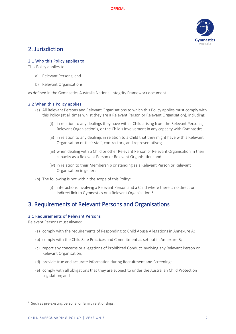

## <span id="page-6-0"></span>2. Jurisdiction

#### <span id="page-6-1"></span>2.1 Who this Policy applies to

This Policy applies to:

- a) Relevant Persons; and
- b) Relevant Organisations

as defined in the Gymnastics Australia National Integrity Framework document.

#### <span id="page-6-2"></span>2.2 When this Policy applies

- (a) All Relevant Persons and Relevant Organisations to which this Policy applies must comply with this Policy (at all times whilst they are a Relevant Person or Relevant Organisation), including:
	- (i) in relation to any dealings they have with a Child arising from the Relevant Person's, Relevant Organisation's, or the Child's involvement in any capacity with Gymnastics.
	- (ii) in relation to any dealings in relation to a Child that they might have with a Relevant Organisation or their staff, contractors, and representatives;
	- (iii) when dealing with a Child or other Relevant Person or Relevant Organisation in their capacity as a Relevant Person or Relevant Organisation; and
	- (iv) in relation to their Membership or standing as a Relevant Person or Relevant Organisation in general.
- (b) The following is not within the scope of this Policy:
	- (i) interactions involving a Relevant Person and a Child where there is no direct or indirect link to Gymnastics or a Relevant Organisation.[8](#page-6-5)

## <span id="page-6-3"></span>3. Requirements of Relevant Persons and Organisations

#### <span id="page-6-4"></span>3.1 Requirements of Relevant Persons

Relevant Persons must always:

- (a) comply with the requirements of Responding to Child Abuse Allegations in Annexure A;
- (b) comply with the Child Safe Practices and Commitment as set out in Annexure B;
- (c) report any concerns or allegations of Prohibited Conduct involving any Relevant Person or Relevant Organisation;
- (d) provide true and accurate information during Recruitment and Screening;
- (e) comply with all obligations that they are subject to under the Australian Child Protection Legislation; and

<span id="page-6-5"></span><sup>&</sup>lt;sup>8</sup> Such as pre-existing personal or family relationships.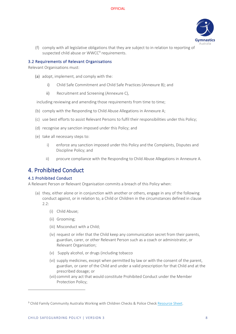

(f) comply with all legislative obligations that they are subject to in relation to reporting of suspected child abuse or WWCC<sup>[9](#page-7-3)</sup> requirements.

#### <span id="page-7-0"></span>3.2 Requirements of Relevant Organisations

Relevant Organisations must:

- (a) adopt, implement, and comply with the:
	- i) Child Safe Commitment and Child Safe Practices (Annexure B); and
	- ii) Recruitment and Screening (Annexure C),

including reviewing and amending those requirements from time to time;

- (b) comply with the Responding to Child Abuse Allegations in Annexure A;
- (c) use best efforts to assist Relevant Persons to fulfil their responsibilities under this Policy;
- (d) recognise any sanction imposed under this Policy; and
- (e) take all necessary steps to:
	- i) enforce any sanction imposed under this Policy and the Complaints, Disputes and Discipline Policy; and
	- ii) procure compliance with the Responding to Child Abuse Allegations in Annexure A.

### <span id="page-7-1"></span>4. Prohibited Conduct

#### <span id="page-7-2"></span>4.1 Prohibited Conduct

A Relevant Person or Relevant Organisation commits a breach of this Policy when:

- (a) they, either alone or in conjunction with another or others, engage in any of the following conduct against, or in relation to, a Child or Children in the circumstances defined in clause 2.2:
	- (i) Child Abuse;
	- (ii) Grooming;
	- (iii) Misconduct with a Child;
	- (iv) request or infer that the Child keep any communication secret from their parents, guardian, carer, or other Relevant Person such as a coach or administrator, or Relevant Organisation;
	- (v) Supply alcohol, or drugs (including tobacco
	- (vi) supply medicines, except when permitted by law or with the consent of the parent, guardian, or carer of the Child and under a valid prescription for that Child and at the prescribed dosage; or
	- (vii) commit any act that would constitute Prohibited Conduct under the Member Protection Policy;

<span id="page-7-3"></span><sup>&</sup>lt;sup>9</sup> Child Family Community Australia Working with Children Checks & Police Chec[k Resource Sheet.](https://aifs.gov.au/cfca/publications/pre-employment-screening-working-children-checks-and-police-checks)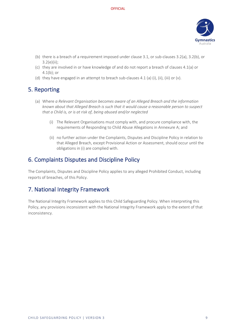

- (b) there is a breach of a requirement imposed under clause 3.1, or sub-clauses 3.2(a), 3.2(b), or 3.2(e)(ii);
- (c) they are involved in or have knowledge of and do not report a breach of clauses 4.1(a) or 4.1(b); or
- (d) they have engaged in an attempt to breach sub-clauses 4.1 (a) (i), (ii), (iii) or (v).

## <span id="page-8-0"></span>5. Reporting

- (a) Where *a Relevant Organisation becomes aware of an Alleged Breach and the information known about that Alleged Breach is such that it would cause a reasonable person to suspect that a Child is, or is at risk of, being abused and/or neglected*
	- (i) The Relevant Organisations must comply with, and procure compliance with, the requirements of Responding to Child Abuse Allegations in Annexure A; and
	- (ii) no further action under the Complaints, Disputes and Discipline Policy in relation to that Alleged Breach, except Provisional Action or Assessment, should occur until the obligations in (i) are complied with.

## <span id="page-8-1"></span>6. Complaints Disputes and Discipline Policy

The Complaints, Disputes and Discipline Policy applies to any alleged Prohibited Conduct, including reports of breaches, of this Policy.

## <span id="page-8-2"></span>7. National Integrity Framework

The National Integrity Framework applies to this Child Safeguarding Policy. When interpreting this Policy, any provisions inconsistent with the National Integrity Framework apply to the extent of that inconsistency.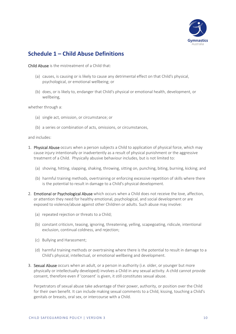

## <span id="page-9-0"></span>**Schedule 1 – Child Abuse Definitions**

Child Abuse is the mistreatment of a Child that:

- (a) causes, is causing or is likely to cause any detrimental effect on that Child's physical, psychological, or emotional wellbeing; or
- (b) does, or is likely to, endanger that Child's physical or emotional health, development, or wellbeing,

whether through a:

- (a) single act, omission, or circumstance; or
- (b) a series or combination of acts, omissions, or circumstances,

and includes:

- 1. Physical Abuse occurs when a person subjects a Child to application of physical force, which may cause injury intentionally or inadvertently as a result of physical punishment or the aggressive treatment of a Child. Physically abusive behaviour includes, but is not limited to:
	- (a) shoving, hitting, slapping, shaking, throwing, sitting on, punching, biting, burning, kicking; and
	- (b) harmful training methods, overtraining or enforcing excessive repetition of skills where there is the potential to result in damage to a Child's physical development.
- 2. Emotional or Psychological Abuse which occurs when a Child does not receive the love, affection, or attention they need for healthy emotional, psychological, and social development or are exposed to violence/abuse against other Children or adults. Such abuse may involve:
	- (a) repeated rejection or threats to a Child;
	- (b) constant criticism, teasing, ignoring, threatening, yelling, scapegoating, ridicule, intentional exclusion, continual coldness, and rejection;
	- (c) Bullying and Harassment;
	- (d) harmful training methods or overtraining where there is the potential to result in damage to a Child's physical, intellectual, or emotional wellbeing and development.
- 3. Sexual Abuse occurs when an adult, or a person in authority (i.e. older, or younger but more physically or intellectually developed) involves a Child in any sexual activity. A child cannot provide consent, therefore even if 'consent' is given, it still constitutes sexual abuse.

Perpetrators of sexual abuse take advantage of their power, authority, or position over the Child for their own benefit. It can include making sexual comments to a Child, kissing, touching a Child's genitals or breasts, oral sex, or intercourse with a Child.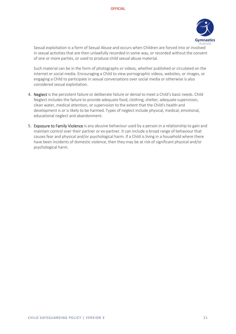

Sexual exploitation is a form of Sexual Abuse and occurs when Children are forced into or involved in sexual activities that are then unlawfully recorded in some way, or recorded without the consent of one or more parties, or used to produce child sexual abuse material.

Such material can be in the form of photographs or videos, whether published or circulated on the internet or social media. Encouraging a Child to view pornographic videos, websites, or images, or engaging a Child to participate in sexual conversations over social media or otherwise is also considered sexual exploitation.

- 4. Neglect is the persistent failure or deliberate failure or denial to meet a Child's basic needs. Child Neglect includes the failure to provide adequate food, clothing, shelter, adequate supervision, clean water, medical attention, or supervision to the extent that the Child's health and development is or is likely to be harmed. Types of neglect include physical, medical, emotional, educational neglect and abandonment.
- 5. Exposure to Family Violence is any abusive behaviour used by a person in a relationship to gain and maintain control over their partner or ex-partner. It can include a broad range of behaviour that causes fear and physical and/or psychological harm. If a Child is living in a household where there have been incidents of domestic violence, then they may be at risk of significant physical and/or psychological harm.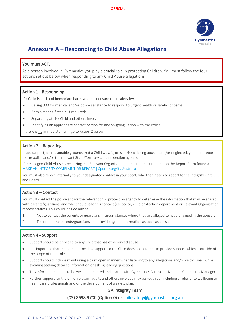

# <span id="page-11-0"></span>**Annexure A – Responding to Child Abuse Allegations**

#### You must ACT.

As a person involved in Gymnastics you play a crucial role in protecting Children. You must follow the four actions set out below when responding to any Child Abuse allegations.

#### Action 1 - Responding

#### If a Child is at risk of immediate harm you must ensure their safety by:

- Calling 000 for medical and/or police assistance to respond to urgent health or safety concerns;
- Administering first aid, if required:
- Separating at-risk Child and others involved;
- Identifying an appropriate contact person for any on-going liaison with the Police.

If there is no immediate harm go to Action 2 below.

#### Action 2 – Reporting

If you suspect, on reasonable grounds that a Child was, is, or is at risk of being abused and/or neglected, you must report it to the police and/or the relevant State/Territory child protection agency.

If the alleged Child Abuse is occurring in a Relevant Organisation, it must be documented on the Report Form found at [MAKE AN INTEGRITY COMPLAINT OR REPORT | Sport Integrity Australia](https://www.sportintegrity.gov.au/contact-us/make-an-integrity-complaint-or-report)

You must also report internally to your designated contact in your sport, who then needs to report to the Integrity Unit, CEO and Board.

#### Action 3 – Contact

You must contact the police and/or the relevant child protection agency to determine the information that may be shared with parents/guardians, and who should lead this contact (i.e. police, child protection department or Relevant Organisation representative). This could include advice:

- 1. Not to contact the parents or guardians in circumstances where they are alleged to have engaged in the abuse or
- 2. To contact the parents/guardians and provide agreed information as soon as possible.

#### Action 4 - Support

- Support should be provided to any Child that has experienced abuse.
- It is important that the person providing support to the Child does not attempt to provide support which is outside of the scope of their role.
- Support should include maintaining a calm open manner when listening to any allegations and/or disclosures, while avoiding seeking detailed information or asking leading questions.
- This information needs to be well documented and shared with Gymnastics Australia's National Complaints Manager.
- Further support for the Child, relevant adults and others involved may be required, including a referral to wellbeing or healthcare professionals and or the development of a safety plan.

#### GA Integrity Team

#### (03) 8698 9700 (Option 0) or [childsafety@gymnastics.org.au](mailto:childsafety@gymnastics.org.au)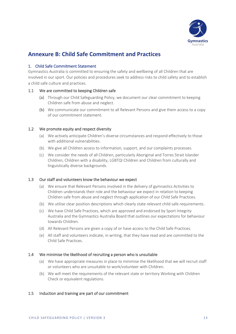

## <span id="page-12-0"></span>**Annexure B: Child Safe Commitment and Practices**

#### 1. Child Safe Commitment Statement

Gymnastics Australia is committed to ensuring the safety and wellbeing of all Children that are involved in our sport. Our policies and procedures seek to address risks to child safety and to establish a child safe culture and practices.

#### 1.1 We are committed to keeping Children safe

- (a) Through our Child Safeguarding Policy, we document our clear commitment to keeping Children safe from abuse and neglect.
- (b) We communicate our commitment to all Relevant Persons and give them access to a copy of our commitment statement.

#### 1.2 We promote equity and respect diversity

- (a) We actively anticipate Children's diverse circumstances and respond effectively to those with additional vulnerabilities.
- (b) We give all Children access to information, support, and our complaints processes.
- (c) We consider the needs of all Children, particularly Aboriginal and Torres Strait Islander Children, Children with a disability, LGBTQI Children and Children from culturally and linguistically diverse backgrounds.

#### 1.3 Our staff and volunteers know the behaviour we expect

- (a) We ensure that Relevant Persons involved in the delivery of gymnastics Activities to Children understands their role and the behaviour we expect in relation to keeping Children safe from abuse and neglect through application of our Child Safe Practices.
- (b) We utilise clear position descriptions which clearly state relevant child safe requirements.
- (c) We have Child Safe Practices, which are approved and endorsed by Sport Integrity Australia and the Gymnastics Australia Board that outlines our expectations for behaviour towards Children.
- (d) All Relevant Persons are given a copy of or have access to the Child Safe Practices.
- (e) All staff and volunteers indicate, in writing, that they have read and are committed to the Child Safe Practices.

#### 1.4 We minimise the likelihood of recruiting a person who is unsuitable

- (a) We have appropriate measures in place to minimise the likelihood that we will recruit staff or volunteers who are unsuitable to work/volunteer with Children.
- (b) We will meet the requirements of the relevant state or territory Working with Children Check or equivalent regulations.

#### 1.5 Induction and training are part of our commitment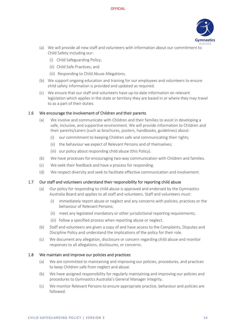

- (a) We will provide all new staff and volunteers with information about our commitment to Child Safety including our:
	- (i) Child Safeguarding Policy;
	- (ii) Child Safe Practices; and
	- (iii) Responding to Child Abuse Allegations.
- (b) We support ongoing education and training for our employees and volunteers to ensure child safety information is provided and updated as required.
- (c) We ensure that our staff and volunteers have up-to-date information on relevant legislation which applies in the state or territory they are based in or where they may travel to as a part of their duties.

#### 1.6 We encourage the involvement of Children and their parents

- (a) We involve and communicate with Children and their families to assist in developing a safe, inclusive, and supportive environment. We will provide information to Children and their parents/carers (such as brochures, posters, handbooks, guidelines) about:
	- (i) our commitment to keeping Children safe and communicating their rights;
	- (ii) the behaviour we expect of Relevant Persons and of themselves;
	- (iii) our policy about responding child abuse (this Policy).
- (b) We have processes for encouraging two-way communication with Children and families.
- (c) We seek their feedback and have a process for responding.
- (d) We respect diversity and seek to facilitate effective communication and involvement.

#### 1.7 Our staff and volunteers understand their responsibility for reporting child abuse

- (a) Our policy for responding to child abuse is approved and endorsed by the Gymnastics Australia Board and applies to all staff and volunteers. Staff and volunteers must:
	- (i) immediately report abuse or neglect and any concerns with policies, practices or the behaviour of Relevant Persons;
	- (ii) meet any legislated mandatory or other jurisdictional reporting requirements;
	- (iii) follow a specified process when reporting abuse or neglect.
- (b) Staff and volunteers are given a copy of and have access to the Complaints, Disputes and Discipline Policy and understand the implications of the policy for their role.
- (c) We document any allegation, disclosure or concern regarding child abuse and monitor responses to all allegations, disclosures, or concerns.

#### 1.8 We maintain and improve our policies and practices

- (a) We are committed to maintaining and improving our policies, procedures, and practices to keep Children safe from neglect and abuse.
- (b) We have assigned responsibility for regularly maintaining and improving our policies and procedures to Gymnastics Australia's General Manager Integrity.
- (c) We monitor Relevant Persons to ensure appropriate practice, behaviour and policies are followed.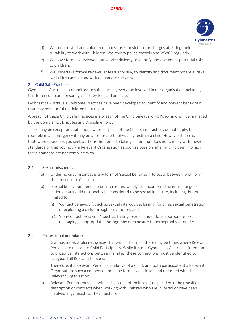

- (d) We require staff and volunteers to disclose convictions or charges affecting their suitability to work with Children. We review police records and WWCC regularly.
- (e) We have formally reviewed our service delivery to identify and document potential risks to Children.
- (f) We undertake formal reviews, at least annually, to identify and document potential risks to Children associated with our service delivery.

#### 2. Child Safe Practices

Gymnastics Australia is committed to safeguarding everyone involved in our organisation including Children in our care, ensuring that they feel and are safe.

Gymnastics Australia's Child Safe Practices have been developed to identify and prevent behaviour that may be harmful to Children in our sport.

A breach of these Child Safe Practices is a breach of the Child Safeguarding Policy and will be managed by the Complaints, Disputes and Discipline Policy.

There may be exceptional situations where aspects of the Child Safe Practices do not apply, for example in an emergency it may be appropriate to physically restrain a child. However it is crucial that, where possible, you seek authorisation prior to taking action that does not comply with these standards or that you notify a Relevant Organisation as soon as possible after any incident in which these standard are not complied with.

#### 2.1 Sexual misconduct

- (a) Under no circumstances is any form of 'sexual behaviour' to occur between, with, or in the presence of Children.
- (b) 'Sexual behaviour' needs to be interpreted widely, to encompass the entire range of actions that would reasonably be considered to be sexual in nature, including, but not limited to:
	- (i) 'contact behaviour', such as sexual intercourse, kissing, fondling, sexual penetration or exploiting a child through prostitution; and
	- (ii) 'non-contact behaviour', such as flirting, sexual innuendo, inappropriate text messaging, inappropriate photography or exposure to pornography or nudity.

#### 2.2 Professional boundaries

Gymnastics Australia recognises that within the sport there may be times where Relevant Persons are related to Child Participants. While it is not Gymnastics Australia's intention to proscribe interactions between families, these connections must be identified to safeguard all Relevant Persons.

Therefore, if a Relevant Person is a relative of a Child, and both participate at a Relevant Organisation, such a connection must be formally disclosed and recorded with the Relevant Organisation.

(a) Relevant Persons must act within the scope of their role (as specified in their position description or contract) when working with Children who are involved or have been involved in gymnastics. They must not: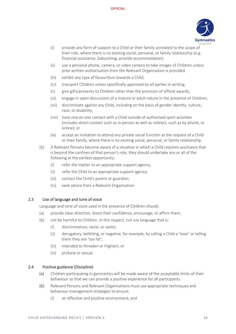

- (i) provide any form of support to a Child or their family unrelated to the scope of their role, where there is no existing social, personal, or family relationship (e.g. financial assistance, babysitting, provide accommodation);
- (ii) use a personal phone, camera, or video camera to take images of Children unless prior written authorisation from the Relevant Organisation is provided.
- (iii) exhibit any type of favouritism towards a Child;
- (iv) transport Children unless specifically approved by all parties in writing;
- (v) give gifts/presents to Children other than the provision of official awards;
- (vi) engage in open discussions of a mature or adult nature in the presence of Children;
- (vii) discriminate against any Child, including on the basis of gender identity, culture, race, or disability;
- (viii) have one on one contact with a Child outside of authorised sport activities (includes direct contact such as in-person as well as indirect, such as by phone, or online); or
- (ix) accept an invitation to attend any private social function at the request of a Child or their family, where there is no existing social, personal, or family relationship.
- (b) If Relevant Persons become aware of a situation in which a Child requires assistance that is beyond the confines of that person's role, they should undertake any or all of the following at the earliest opportunity:
	- (i) refer the matter to an appropriate support agency;
	- (ii) refer the Child to an appropriate support agency;
	- (iii) contact the Child's parent or guardian;
	- (iv) seek advice from a Relevant Organisation.

#### 2.3 Use of language and tone of voice

Language and tone of voice used in the presence of Children should:

- (a) provide clear direction, boost their confidence, encourage, or affirm them;
- (b) not be harmful to Children. In this respect, not use language that is:
	- (i) discriminatory, racist, or sexist;
	- (ii) derogatory, belittling, or negative, for example, by calling a Child a 'loser' or telling them they are 'too fat';
	- (iii) intended to threaten or frighten; or
	- (iv) profane or sexual.

#### 2.4 Positive guidance (Discipline)

- (a) Children participating in gymnastics will be made aware of the acceptable limits of their behaviour so that we can provide a positive experience for all participants.
- (b) Relevant Persons and Relevant Organisations must use appropriate techniques and behaviour management strategies to ensure:
	- (i) an effective and positive environment; and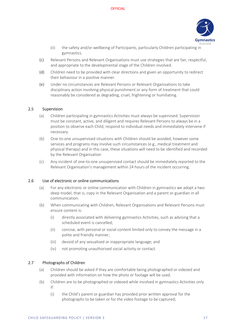

- (ii) the safety and/or wellbeing of Participants, particularly Children participating in gymnastics.
- (c) Relevant Persons and Relevant Organisations must use strategies that are fair, respectful, and appropriate to the developmental stage of the Children involved.
- (d) Children need to be provided with clear directions and given an opportunity to redirect their behaviour in a positive manner.
- (e) Under no circumstances are Relevant Persons or Relevant Organisations to take disciplinary action involving physical punishment or any form of treatment that could reasonably be considered as degrading, cruel, frightening or humiliating.

#### 2.5 Supervision

- (a) Children participating in gymnastics Activities must always be supervised. Supervision must be constant, active, and diligent and requires Relevant Persons to always be in a position to observe each Child, respond to individual needs and immediately intervene if necessary.
- (b) One-to-one unsupervised situations with Children should be avoided, however some services and programs may involve such circumstances (e.g., medical treatment and physical therapy) and in this case, these situations will need to be identified and recorded by the Relevant Organisation
- (c) Any incident of one-to-one unsupervised contact should be immediately reported to the Relevant Organisation's management within 24 hours of the incident occurring.

#### 2.6 Use of electronic or online communications

- (a) For any electronic or online communication with Children in gymnastics we adopt a twodeep model, that is, copy in the Relevant Organisation and a parent or guardian in all communication.
- (b) When communicating with Children, Relevant Organisations and Relevant Persons must ensure content is:
	- (i) directly associated with delivering gymnastics Activities, such as advising that a scheduled event is cancelled;
	- (ii) concise, with personal or social content limited only to convey the message in a polite and friendly manner;
	- (iii) devoid of any sexualised or inappropriate language; and
	- (iv) not promoting unauthorised social activity or contact.

#### 2.7 Photographs of Children

- (a) Children should be asked if they are comfortable being photographed or videoed and provided with information on how the photo or footage will be used.
- (b) Children are to be photographed or videoed while involved in gymnastics Activities only if:
	- (i) the Child's parent or guardian has provided prior written approval for the photographs to be taken or for the video footage to be captured;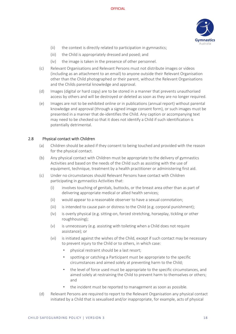

- (ii) the context is directly related to participation in gymnastics;
- (iii) the Child is appropriately dressed and posed; and
- (iv) the image is taken in the presence of other personnel.
- (c) Relevant Organisations and Relevant Persons must not distribute images or videos (including as an attachment to an email) to anyone outside their Relevant Organisation other than the Child photographed or their parent, without the Relevant Organisations and the Childs parental knowledge and approval.
- (d) Images (digital or hard copy) are to be stored in a manner that prevents unauthorised access by others and will be destroyed or deleted as soon as they are no longer required.
- (e) Images are not to be exhibited online or in publications (annual report) without parental knowledge and approval (through a signed image consent form), or such images must be presented in a manner that de-identifies the Child. Any caption or accompanying text may need to be checked so that it does not identify a Child if such identification is potentially detrimental.

#### 2.8 Physical contact with Children

- (a) Children should be asked if they consent to being touched and provided with the reason for the physical contact.
- (b) Any physical contact with Children must be appropriate to the delivery of gymnastics Activities and based on the needs of the Child such as assisting with the use of equipment, technique, treatment by a health practitioner or administering first aid.
- (c) Under no circumstances should Relevant Persons have contact with Children participating in gymnastics Activities that:
	- (i) involves touching of genitals, buttocks, or the breast area other than as part of delivering appropriate medical or allied health services;
	- (ii) would appear to a reasonable observer to have a sexual connotation;
	- (iii) is intended to cause pain or distress to the Child (e.g. corporal punishment);
	- (iv) is overly physical (e.g. sitting-on, forced stretching, horseplay, tickling or other roughhousing);
	- (v) is unnecessary (e.g. assisting with toileting when a Child does not require assistance); or
	- (vi) is initiated against the wishes of the Child, except if such contact may be necessary to prevent injury to the Child or to others, in which case:
		- physical restraint should be a last resort;
		- spotting or catching a Participant must be appropriate to the specific circumstances and aimed solely at preventing harm to the Child;
		- the level of force used must be appropriate to the specific circumstances, and aimed solely at restraining the Child to prevent harm to themselves or others; and
		- the incident must be reported to management as soon as possible.
- (d) Relevant Persons are required to report to the Relevant Organisation any physical contact initiated by a Child that is sexualised and/or inappropriate, for example, acts of physical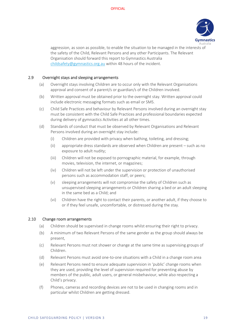

aggression, as soon as possible, to enable the situation to be managed in the interests of the safety of the Child, Relevant Persons and any other Participants. The Relevant Organisation should forward this report to Gymnastics Australia [childsafety@gymnastics.org.au](mailto:childsafety@gymnastics.org.au) within 48 hours of the incident.

#### 2.9 Overnight stays and sleeping arrangements

- (a) Overnight stays involving Children are to occur only with the Relevant Organisations approval and consent of a parent/s or guardian/s of the Children involved.
- (b) Written approval must be obtained prior to the overnight stay. Written approval could include electronic messaging formats such as email or SMS.
- (c) Child Safe Practices and behaviour by Relevant Persons involved during an overnight stay must be consistent with the Child Safe Practices and professional boundaries expected during delivery of gymnastics Activities at all other times.
- (d) Standards of conduct that must be observed by Relevant Organisations and Relevant Persons involved during an overnight stay include:
	- (i) Children are provided with privacy when bathing, toileting, and dressing;
	- (ii) appropriate dress standards are observed when Children are present such as no exposure to adult nudity;
	- (iii) Children will not be exposed to pornographic material, for example, through movies, television, the internet, or magazines;
	- (iv) Children will not be left under the supervision or protection of unauthorised persons such as accommodation staff, or peers;
	- (v) sleeping arrangements will not compromise the safety of Children such as unsupervised sleeping arrangements or Children sharing a bed or an adult sleeping in the same bed as a Child; and
	- (vi) Children have the right to contact their parents, or another adult, if they choose to or if they feel unsafe, uncomfortable, or distressed during the stay.

#### 2.10 Change room arrangements

- (a) Children should be supervised in change rooms whilst ensuring their right to privacy.
- (b) A minimum of two Relevant Persons of the same gender as the group should always be present,
- (c) Relevant Persons must not shower or change at the same time as supervising groups of Children.
- (d) Relevant Persons must avoid one-to-one situations with a Child in a change room area
- (e) Relevant Persons need to ensure adequate supervision in 'public' change rooms when they are used, providing the level of supervision required for preventing abuse by members of the public, adult users, or general misbehaviour, while also respecting a Child's privacy.
- (f) Phones, cameras and recording devices are not to be used in changing rooms and in particular whilst Children are getting dressed.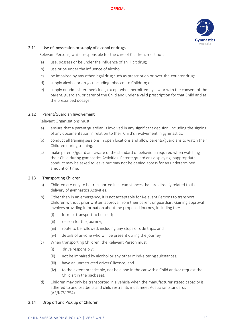

#### 2.11 Use of, possession or supply of alcohol or drugs

Relevant Persons, whilst responsible for the care of Children, must not:

- (a) use, possess or be under the influence of an illicit drug;
- (b) use or be under the influence of alcohol;
- (c) be impaired by any other legal drug such as prescription or over-the-counter drugs;
- (d) supply alcohol or drugs (including tobacco) to Children; or
- (e) supply or administer medicines, except when permitted by law or with the consent of the parent, guardian, or carer of the Child and under a valid prescription for that Child and at the prescribed dosage.

#### 2.12 Parent/Guardian Involvement

Relevant Organisations must:

- (a) ensure that a parent/guardian is involved in any significant decision, including the signing of any documentation in relation to their Child's involvement in gymnastics.
- (b) conduct all training sessions in open locations and allow parents/guardians to watch their Children during training.
- (c) make parents/guardians aware of the standard of behaviour required when watching their Child during gymnastics Activities. Parents/guardians displaying inappropriate conduct may be asked to leave but may not be denied access for an undetermined amount of time.

#### 2.13 Transporting Children

- (a) Children are only to be transported in circumstances that are directly related to the delivery of gymnastics Activities.
- (b) Other than in an emergency, it is not acceptable for Relevant Persons to transport Children without prior written approval from their parent or guardian. Gaining approval involves providing information about the proposed journey, including the:
	- (i) form of transport to be used;
	- (ii) reason for the journey;
	- (iii) route to be followed, including any stops or side trips; and
	- (iv) details of anyone who will be present during the journey
- (c) When transporting Children, the Relevant Person must:
	- (i) drive responsibly;
	- (ii) not be impaired by alcohol or any other mind-altering substances;
	- (iii) have an unrestricted drivers' licence; and
	- (iv) to the extent practicable, not be alone in the car with a Child and/or request the Child sit in the back seat.
- (d) Children may only be transported in a vehicle when the manufacturer stated capacity is adhered to and seatbelts and child restraints must meet Australian Standards (AS/NZS1754).

#### 2.14 Drop off and Pick up of Children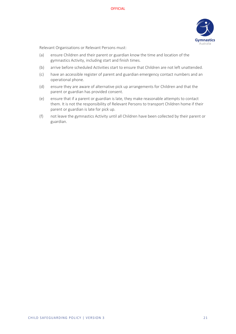

Relevant Organisations or Relevant Persons must:

- (a) ensure Children and their parent or guardian know the time and location of the gymnastics Activity, including start and finish times.
- (b) arrive before scheduled Activities start to ensure that Children are not left unattended.
- (c) have an accessible register of parent and guardian emergency contact numbers and an operational phone.
- (d) ensure they are aware of alternative pick up arrangements for Children and that the parent or guardian has provided consent.
- (e) ensure that if a parent or guardian is late, they make reasonable attempts to contact them. It is not the responsibility of Relevant Persons to transport Children home if their parent or guardian is late for pick up.
- (f) not leave the gymnastics Activity until all Children have been collected by their parent or guardian.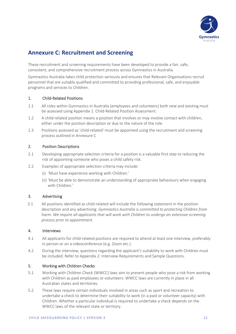

## <span id="page-21-0"></span>**Annexure C: Recruitment and Screening**

These recruitment and screening requirements have been developed to provide a fair, safe, consistent, and comprehensive recruitment process across Gymnastics in Australia.

Gymnastics Australia takes child protection seriously and ensures that Relevant Organisations recruit personnel that are suitably qualified and committed to providing professional, safe, and enjoyable programs and services to Children.

#### 1. Child-Related Positions

- 1.1 All roles within Gymnastics in Australia (employees and volunteers) both new and existing must be assessed using Appendix 1: Child-Related Position Assessment.
- 1.2 A child-related position means a position that involves or may involve contact with children, either under the position description or due to the nature of the role.
- 1.3 Positions assessed as 'child-related' must be appointed using the recruitment and screening process outlined in Annexure C

#### 2. Position Descriptions

- 2.1 Developing appropriate selection criteria for a position is a valuable first step to reducing the risk of appointing someone who poses a child safety risk.
- 2.2 Examples of appropriate selection criteria may include:
	- (i) 'Must have experience working with Children.'
	- (ii) 'Must be able to demonstrate an understanding of appropriate behaviours when engaging with Children.'

#### 3. Advertising

3.1 All positions identified as child-related will include the following statement in the position description and any advertising: *Gymnastics Australia is committed to protecting Children from harm. We require all applicants that will work with Children to undergo an extensive screening process prior to appointment.*

#### 4. Interviews

- 4.1 All applicants for child-related positions are required to attend at least one interview, preferably in person or on a videoconference (e.g. Zoom etc.).
- 4.2 During the interview, questions regarding the applicant's suitability to work with Children must be included. Refer to Appendix 2: Interview Requirements and Sample Questions.

#### 5. Working with Children Checks

- 5.1 Working with Children Check (WWCC) laws aim to prevent people who pose a risk from working with Children as paid employees or volunteers. WWCC laws are currently in place in all Australian states and territories.
- 5.2 These laws require certain individuals involved in areas such as sport and recreation to undertake a check to determine their suitability to work (in a paid or volunteer capacity) with Children. Whether a particular individual is required to undertake a check depends on the WWCC laws of the relevant state or territory.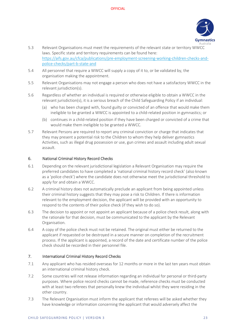

- 5.3 Relevant Organisations must meet the requirements of the relevant state or territory WWCC laws. Specific state and territory requirements can be found here: [https://aifs.gov.au/cfca/publications/pre-employment-screening-working-children-checks-and](https://aifs.gov.au/cfca/publications/pre-employment-screening-working-children-checks-and-police-checks/part-b-state-and)[police-checks/part-b-state-and](https://aifs.gov.au/cfca/publications/pre-employment-screening-working-children-checks-and-police-checks/part-b-state-and)
- 5.4 All personnel that require a WWCC will supply a copy of it to, or be validated by, the organisation making the appointment.
- 5.5 Relevant Organisations may not engage a person who does not have a satisfactory WWCC in the relevant jurisdiction(s).
- 5.6 Regardless of whether an individual is required or otherwise eligible to obtain a WWCC in the relevant jurisdiction(s), it is a serious breach of the Child Safeguarding Policy if an individual:
	- (a) who has been charged with, found guilty or convicted of an offence that would make them ineligible to be granted a WWCC is appointed to a child-related position in gymnastics; or
	- (b) continues in a child-related position if they have been charged or convicted of a crime that would make them ineligible to be granted a WWCC.
- 5.7 Relevant Persons are required to report any criminal conviction or charge that indicates that they may present a potential risk to the Children to whom they help deliver gymnastics Activities, such as illegal drug possession or use, gun crimes and assault including adult sexual assault.

#### 6. National Criminal History Record Checks

- 6.1 Depending on the relevant jurisdictional legislation a Relevant Organisation may require the preferred candidates to have completed a 'national criminal history record check' (also known as a 'police check') where the candidate does not otherwise meet the jurisdictional threshold to apply for and obtain a WWCC.
- 6.2 A criminal history does not automatically preclude an applicant from being appointed unless their criminal history suggests that they may pose a risk to Children. If there is information relevant to the employment decision, the applicant will be provided with an opportunity to respond to the contents of their police check (if they wish to do so).
- 6.3 The decision to appoint or not appoint an applicant because of a police check result, along with the rationale for that decision, must be communicated to the applicant by the Relevant Organisation.
- 6.4 A copy of the police check must not be retained. The original must either be returned to the applicant if requested or be destroyed in a secure manner on completion of the recruitment process. If the applicant is appointed, a record of the date and certificate number of the police check should be recorded in their personnel file.

#### 7. International Criminal History Record Checks

- 7.1 Any applicant who has resided overseas for 12 months or more in the last ten years must obtain an international criminal history check.
- 7.2 Some countries will not release information regarding an individual for personal or third-party purposes. Where police record checks cannot be made, reference checks must be conducted with at least two referees that personally knew the individual whilst they were residing in the other country.
- 7.3 The Relevant Organisation must inform the applicant that referees will be asked whether they have knowledge or information concerning the applicant that would adversely affect the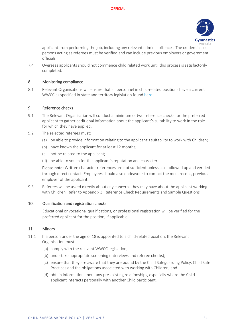

applicant from performing the job, including any relevant criminal offences. The credentials of persons acting as referees must be verified and can include previous employers or government officials.

7.4 Overseas applicants should not commence child related work until this process is satisfactorily completed.

#### 8. Monitoring compliance

8.1 Relevant Organisations will ensure that all personnel in child-related positions have a current WWCC as specified in state and territory legislation foun[d here.](https://aifs.gov.au/cfca/publications/pre-employment-screening-working-children-checks-and-police-checks/part-overview)

#### 9. Reference checks

- 9.1 The Relevant Organisation will conduct a minimum of two reference checks for the preferred applicant to gather additional information about the applicant's suitability to work in the role for which they have applied.
- 9.2 The selected referees must:
	- (a) be able to provide information relating to the applicant's suitability to work with Children;
	- (b) have known the applicant for at least 12 months;
	- (c) not be related to the applicant;
	- (d) be able to vouch for the applicant's reputation and character.

Please note: Written character references are not sufficient unless also followed up and verified through direct contact. Employees should also endeavour to contact the most recent, previous employer of the applicant.

9.3 Referees will be asked directly about any concerns they may have about the applicant working with Children. Refer to Appendix 3: Reference Check Requirements and Sample Questions.

#### 10. Qualification and registration checks

Educational or vocational qualifications, or professional registration will be verified for the preferred applicant for the position, if applicable.

#### 11. Minors

- 11.1 If a person under the age of 18 is appointed to a child-related position, the Relevant Organisation must:
	- (a) comply with the relevant WWCC legislation;
	- (b) undertake appropriate screening (interviews and referee checks);
	- (c) ensure that they are aware that they are bound by the Child Safeguarding Policy, Child Safe Practices and the obligations associated with working with Children; and
	- (d) obtain information about any pre-existing relationships, especially where the Childapplicant interacts personally with another Child participant.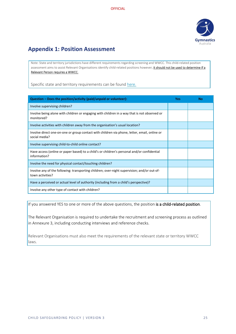

## <span id="page-24-0"></span>**Appendix 1: Position Assessment**

Note: State and territory jurisdictions have different requirements regarding screening and WWCC. This child-related position assessment aims to assist Relevant Organisations identify child-related positions however, it should not be used to determine if a Relevant Person requires a WWCC.

Specific state and territory requirements can be found [here.](https://aifs.gov.au/cfca/publications/pre-employment-screening-working-children-checks-and-police-checks/part-b-state-and)

| Question – Does the position/activity (paid/unpaid or volunteer):                                               | Yes | No |
|-----------------------------------------------------------------------------------------------------------------|-----|----|
| Involve supervising children?                                                                                   |     |    |
| Involve being alone with children or engaging with children in a way that is not observed or<br>monitored?      |     |    |
| Involve activities with children away from the organisation's usual location?                                   |     |    |
| Involve direct one-on-one or group contact with children via phone, letter, email, online or<br>social media?   |     |    |
| Involve supervising child-to-child online contact?                                                              |     |    |
| Have access (online or paper based) to a child's or children's personal and/or confidential<br>information?     |     |    |
| Involve the need for physical contact/touching children?                                                        |     |    |
| Involve any of the following: transporting children; over-night supervision; and/or out-of-<br>town activities? |     |    |
| Have a perceived or actual level of authority (including from a child's perspective)?                           |     |    |
| Involve any other type of contact with children?                                                                |     |    |

If you answered YES to one or more of the above questions, the position is a child-related position.

The Relevant Organisation is required to undertake the recruitment and screening process as outlined in Annexure 3, including conducting interviews and reference checks.

Relevant Organisations must also meet the requirements of the relevant state or territory WWCC laws.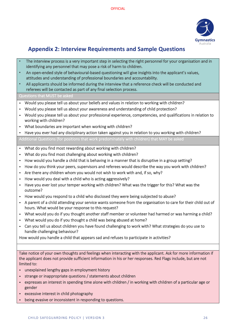

# <span id="page-25-0"></span>**Appendix 2: Interview Requirements and Sample Questions**

- The interview process is a very important step in selecting the right personnel for your organisation and in identifying any personnel that may pose a risk of harm to children.
- An open-ended style of behavioural-based questioning will give insights into the applicant's values, attitudes and understanding of professional boundaries and accountability.
- All applicants should be informed during the interview that a reference check will be conducted and referees will be contacted as part of any final selection process.

#### Questions that MUST be asked

- Would you please tell us about your beliefs and values in relation to working with children?
- Would you please tell us about your awareness and understanding of child protection?
- Would you please tell us about your professional experience, competencies, and qualifications in relation to working with children?
- What boundaries are important when working with children?
- Have you ever had any disciplinary action taken against you in relation to you working with children?

Additional Questions (for positions that work predominately with children) that MAY be asked

- What do you find most rewarding about working with children?
- What do you find most challenging about working with children?
- How would you handle a child that is behaving in a manner that is disruptive in a group setting?
- How do you think your peers, supervisors and referees would describe the way you work with children?
- Are there any children whom you would not wish to work with and, if so, why?
- How would you deal with a child who is acting aggressively?
- Have you ever lost your temper working with children? What was the trigger for this? What was the outcome?
- How would you respond to a child who disclosed they were being subjected to abuse?
- A parent of a child attending your service wants someone from the organisation to care for their child out of hours. What would be your response to this request?
- What would you do if you thought another staff member or volunteer had harmed or was harming a child?
- What would you do if you thought a child was being abused at home?
- Can you tell us about children you have found challenging to work with? What strategies do you use to handle challenging behaviour?

How would you handle a child that appears sad and refuses to participate in activities?

Take notice of your own thoughts and feelings when interacting with the applicant. Ask for more information if the applicant does not provide sufficient information in his or her responses. Red Flags include, but are not limited to:

- unexplained lengthy gaps in employment history
- strange or inappropriate questions / statements about children
- expresses an interest in spending time alone with children / in working with children of a particular age or gender
- excessive interest in child photography
- being evasive or inconsistent in responding to questions.